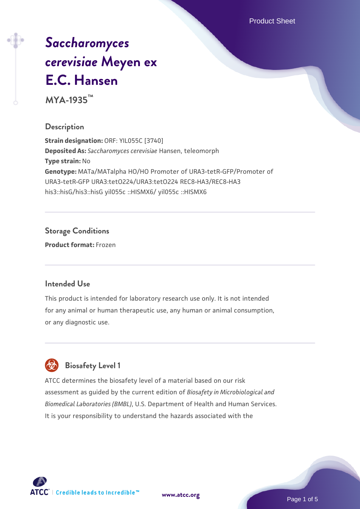Product Sheet

# *[Saccharomyces](https://www.atcc.org/products/mya-1935) [cerevisiae](https://www.atcc.org/products/mya-1935)* **[Meyen ex](https://www.atcc.org/products/mya-1935) [E.C. Hansen](https://www.atcc.org/products/mya-1935)**

**MYA-1935™**

### **Description**

**Strain designation:** ORF: YIL055C [3740] **Deposited As:** *Saccharomyces cerevisiae* Hansen, teleomorph **Type strain:** No **Genotype:** MATa/MATalpha HO/HO Promoter of URA3-tetR-GFP/Promoter of URA3-tetR-GFP URA3:tetO224/URA3:tetO224 REC8-HA3/REC8-HA3 his3::hisG/his3::hisG yil055c ::HISMX6/ yil055c ::HISMX6

### **Storage Conditions**

**Product format:** Frozen

#### **Intended Use**

This product is intended for laboratory research use only. It is not intended for any animal or human therapeutic use, any human or animal consumption, or any diagnostic use.



## **Biosafety Level 1**

ATCC determines the biosafety level of a material based on our risk assessment as guided by the current edition of *Biosafety in Microbiological and Biomedical Laboratories (BMBL)*, U.S. Department of Health and Human Services. It is your responsibility to understand the hazards associated with the

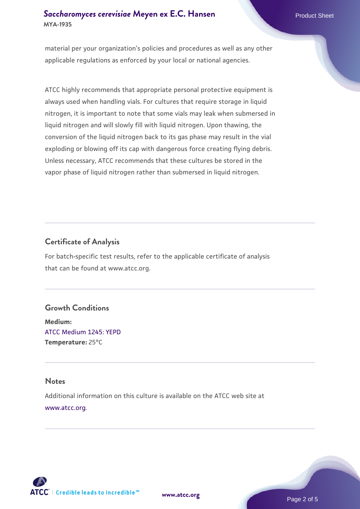material per your organization's policies and procedures as well as any other applicable regulations as enforced by your local or national agencies.

ATCC highly recommends that appropriate personal protective equipment is always used when handling vials. For cultures that require storage in liquid nitrogen, it is important to note that some vials may leak when submersed in liquid nitrogen and will slowly fill with liquid nitrogen. Upon thawing, the conversion of the liquid nitrogen back to its gas phase may result in the vial exploding or blowing off its cap with dangerous force creating flying debris. Unless necessary, ATCC recommends that these cultures be stored in the vapor phase of liquid nitrogen rather than submersed in liquid nitrogen.

## **Certificate of Analysis**

For batch-specific test results, refer to the applicable certificate of analysis that can be found at www.atcc.org.

#### **Growth Conditions**

**Medium:**  [ATCC Medium 1245: YEPD](https://www.atcc.org/-/media/product-assets/documents/microbial-media-formulations/1/2/4/5/atcc-medium-1245.pdf?rev=705ca55d1b6f490a808a965d5c072196) **Temperature:** 25°C

#### **Notes**

Additional information on this culture is available on the ATCC web site at [www.atcc.org.](http://www.atcc.org/)



**[www.atcc.org](http://www.atcc.org)**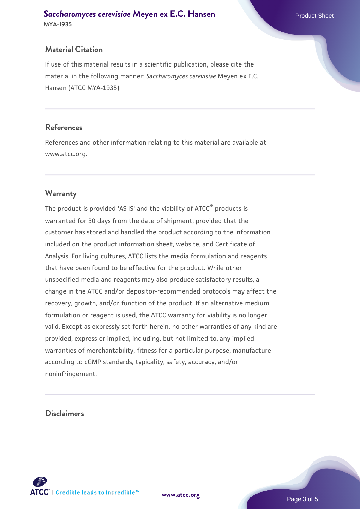## **Material Citation**

If use of this material results in a scientific publication, please cite the material in the following manner: *Saccharomyces cerevisiae* Meyen ex E.C. Hansen (ATCC MYA-1935)

#### **References**

References and other information relating to this material are available at www.atcc.org.

### **Warranty**

The product is provided 'AS IS' and the viability of ATCC® products is warranted for 30 days from the date of shipment, provided that the customer has stored and handled the product according to the information included on the product information sheet, website, and Certificate of Analysis. For living cultures, ATCC lists the media formulation and reagents that have been found to be effective for the product. While other unspecified media and reagents may also produce satisfactory results, a change in the ATCC and/or depositor-recommended protocols may affect the recovery, growth, and/or function of the product. If an alternative medium formulation or reagent is used, the ATCC warranty for viability is no longer valid. Except as expressly set forth herein, no other warranties of any kind are provided, express or implied, including, but not limited to, any implied warranties of merchantability, fitness for a particular purpose, manufacture according to cGMP standards, typicality, safety, accuracy, and/or noninfringement.

#### **Disclaimers**



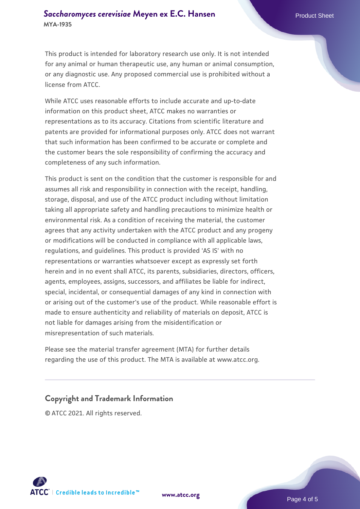This product is intended for laboratory research use only. It is not intended for any animal or human therapeutic use, any human or animal consumption, or any diagnostic use. Any proposed commercial use is prohibited without a license from ATCC.

While ATCC uses reasonable efforts to include accurate and up-to-date information on this product sheet, ATCC makes no warranties or representations as to its accuracy. Citations from scientific literature and patents are provided for informational purposes only. ATCC does not warrant that such information has been confirmed to be accurate or complete and the customer bears the sole responsibility of confirming the accuracy and completeness of any such information.

This product is sent on the condition that the customer is responsible for and assumes all risk and responsibility in connection with the receipt, handling, storage, disposal, and use of the ATCC product including without limitation taking all appropriate safety and handling precautions to minimize health or environmental risk. As a condition of receiving the material, the customer agrees that any activity undertaken with the ATCC product and any progeny or modifications will be conducted in compliance with all applicable laws, regulations, and guidelines. This product is provided 'AS IS' with no representations or warranties whatsoever except as expressly set forth herein and in no event shall ATCC, its parents, subsidiaries, directors, officers, agents, employees, assigns, successors, and affiliates be liable for indirect, special, incidental, or consequential damages of any kind in connection with or arising out of the customer's use of the product. While reasonable effort is made to ensure authenticity and reliability of materials on deposit, ATCC is not liable for damages arising from the misidentification or misrepresentation of such materials.

Please see the material transfer agreement (MTA) for further details regarding the use of this product. The MTA is available at www.atcc.org.

## **Copyright and Trademark Information**

© ATCC 2021. All rights reserved.